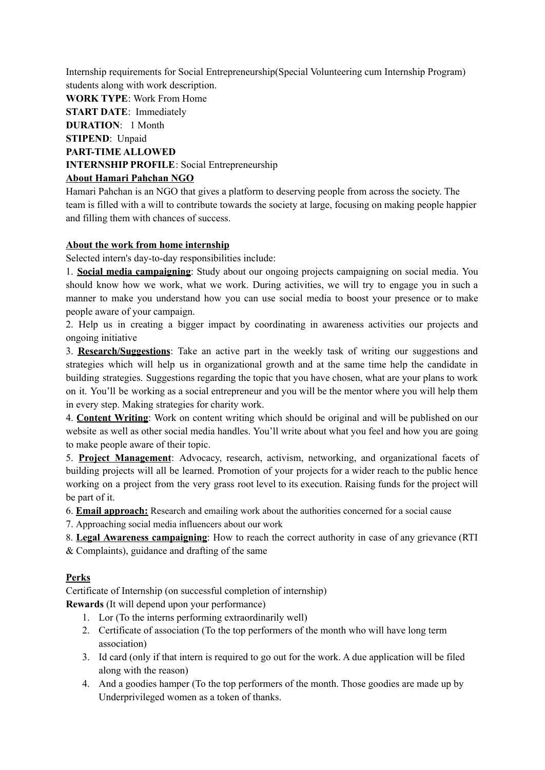Internship requirements for Social Entrepreneurship(Special Volunteering cum Internship Program) students along with work description.

**WORK TYPE**: [Work](https://internshala.com/internships/virtual-internship) From Home **START DATE**: Immediately **DURATION**: 1 Month **STIPEND**: Unpaid **PART-TIME ALLOWED INTERNSHIP PROFILE**: Social Entrepreneurship **About Hamari Pahchan NGO**

Hamari Pahchan is an NGO that gives a platform to deserving people from across the society. The team is filled with a will to contribute towards the society at large, focusing on making people happier and filling them with chances of success.

## **About the work from home internship**

Selected intern's day-to-day responsibilities include:

1. **Social media campaigning**: Study about our ongoing projects campaigning on social media. You should know how we work, what we work. During activities, we will try to engage you in such a manner to make you understand how you can use social media to boost your presence or to make people aware of your campaign.

2. Help us in creating a bigger impact by coordinating in awareness activities our projects and ongoing initiative

3. **Research/Suggestions**: Take an active part in the weekly task of writing our suggestions and strategies which will help us in organizational growth and at the same time help the candidate in building strategies. Suggestions regarding the topic that you have chosen, what are your plans to work on it. You'll be working as a social entrepreneur and you will be the mentor where you will help them in every step. Making strategies for charity work.

4. **Content Writing**: Work on content writing which should be original and will be published on our website as well as other social media handles. You'll write about what you feel and how you are going to make people aware of their topic.

5. **Project Management**: Advocacy, research, activism, networking, and organizational facets of building projects will all be learned. Promotion of your projects for a wider reach to the public hence working on a project from the very grass root level to its execution. Raising funds for the project will be part of it.

6. **Email approach:** Research and emailing work about the authorities concerned for a social cause

7. Approaching social media influencers about our work

8. **Legal Awareness campaigning**: How to reach the correct authority in case of any grievance (RTI & Complaints), guidance and drafting of the same

## **Perks**

Certificate of Internship (on successful completion of internship)

**Rewards** (It will depend upon your performance)

- 1. Lor (To the interns performing extraordinarily well)
- 2. Certificate of association (To the top performers of the month who will have long term association)
- 3. Id card (only if that intern is required to go out for the work. A due application will be filed along with the reason)
- 4. And a goodies hamper (To the top performers of the month. Those goodies are made up by Underprivileged women as a token of thanks.